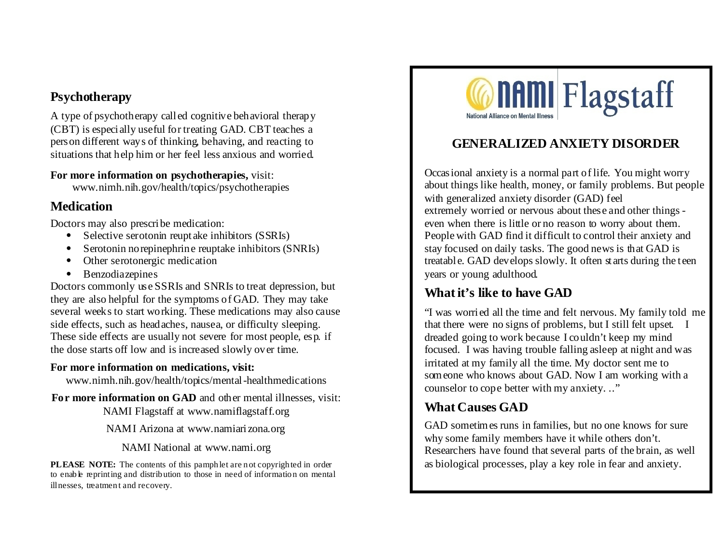#### **Psychotherapy**

A type of psychotherapy called cognitive behavioral therapy (CBT) is especially useful for treating GAD. CBT teaches a person different ways of thinking, behaving, and reacting to situations that help him or her feel less anxious and worried.

**For more information on psychotherapies,** visit: www.nimh.nih.gov/health/topics/psychotherapies

#### **Medication**

Doctors may also prescribe medication:

- Selective serotonin reuptake inhibitors (SSRIs)
- Serotonin norepinephrine reuptake inhibitors (SNRIs)
- Other serotonergic medication
- Benzodiazepines

Doctors commonly use SSRIs and SNRIs to treat depression, but they are also helpful for the symptoms of GAD. They may take several weeks to start working. These medications may also cause side effects, such as headaches, nausea, or difficulty sleeping. These side effects are usually not severe for most people, esp. if the dose starts off low and is increased slowly over time.

#### **For more information on medications, visit:**

www.nimh.nih.gov/health/topics/mental-healthmedications

**For more information on GAD** and other mental illnesses, visit: NAMI Flagstaff at www.namiflagstaff.org

NAMI Arizona at www.namiarizona.org

NAMI National at www.nami.org

PLEASE NOTE: The contents of this pamphlet are not copyrighted in order to enable reprinting and distribution to those in need of information on mental illnesses, treatment and recovery.



## **GENERALIZED ANXIETY DISORDER**

Occasional anxiety is a normal part of life. You might worry about things like health, money, or family problems. But people with generalized anxiety disorder (GAD) feel extremely worried or nervous about these and other things even when there is little or no reason to worry about them. People with GAD find it difficult to control their anxiety and stay focused on daily tasks. The good news is that GAD is treatable. GAD develops slowly. It often starts during the teen years or young adulthood.

## **What it's like to have GAD**

"I was worried all the time and felt nervous. My family told me that there were no signs of problems, but I still felt upset. I dreaded going to work because I couldn't keep my mind focused. I was having trouble falling asleep at night and was irritated at my family all the time. My doctor sent me to someone who knows about GAD. Now I am working with a counselor to cope better with my anxiety. .."

# **What Causes GAD**

GAD sometimes runs in families, but no one knows for sure why some family members have it while others don't. Researchers have found that several parts of the brain, as well as biological processes, play a key role in fear and anxiety.